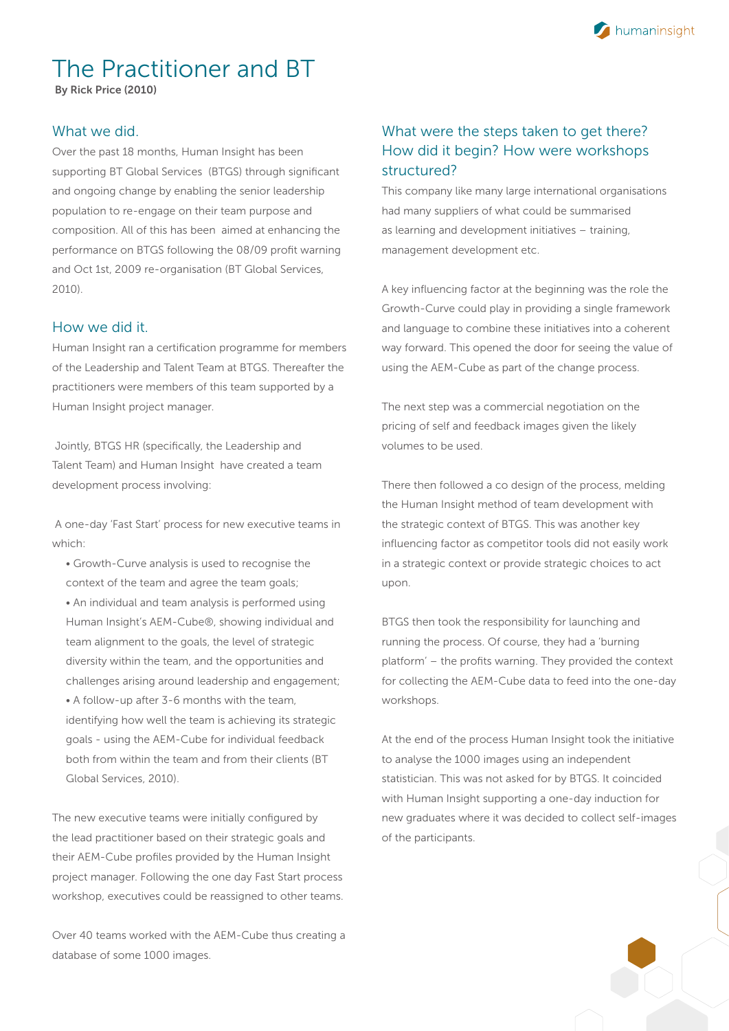

# The Practitioner and BT

By Rick Price (2010)

## What we did.

Over the past 18 months, Human Insight has been supporting BT Global Services (BTGS) through significant and ongoing change by enabling the senior leadership population to re-engage on their team purpose and composition. All of this has been aimed at enhancing the performance on BTGS following the 08/09 profit warning and Oct 1st, 2009 re-organisation (BT Global Services, 2010).

#### How we did it.

Human Insight ran a certification programme for members of the Leadership and Talent Team at BTGS. Thereafter the practitioners were members of this team supported by a Human Insight project manager.

 Jointly, BTGS HR (specifically, the Leadership and Talent Team) and Human Insight have created a team development process involving:

 A one-day 'Fast Start' process for new executive teams in which:

• Growth-Curve analysis is used to recognise the context of the team and agree the team goals; • An individual and team analysis is performed using Human Insight's AEM-Cube®, showing individual and team alignment to the goals, the level of strategic diversity within the team, and the opportunities and challenges arising around leadership and engagement; • A follow-up after 3-6 months with the team, identifying how well the team is achieving its strategic goals - using the AEM-Cube for individual feedback both from within the team and from their clients (BT Global Services, 2010).

The new executive teams were initially configured by the lead practitioner based on their strategic goals and their AEM-Cube profiles provided by the Human Insight project manager. Following the one day Fast Start process workshop, executives could be reassigned to other teams.

Over 40 teams worked with the AEM-Cube thus creating a database of some 1000 images.

# What were the steps taken to get there? How did it begin? How were workshops structured?

This company like many large international organisations had many suppliers of what could be summarised as learning and development initiatives – training, management development etc.

A key influencing factor at the beginning was the role the Growth-Curve could play in providing a single framework and language to combine these initiatives into a coherent way forward. This opened the door for seeing the value of using the AEM-Cube as part of the change process.

The next step was a commercial negotiation on the pricing of self and feedback images given the likely volumes to be used.

There then followed a co design of the process, melding the Human Insight method of team development with the strategic context of BTGS. This was another key influencing factor as competitor tools did not easily work in a strategic context or provide strategic choices to act upon.

BTGS then took the responsibility for launching and running the process. Of course, they had a 'burning platform' – the profits warning. They provided the context for collecting the AEM-Cube data to feed into the one-day workshops.

At the end of the process Human Insight took the initiative to analyse the 1000 images using an independent statistician. This was not asked for by BTGS. It coincided with Human Insight supporting a one-day induction for new graduates where it was decided to collect self-images of the participants.